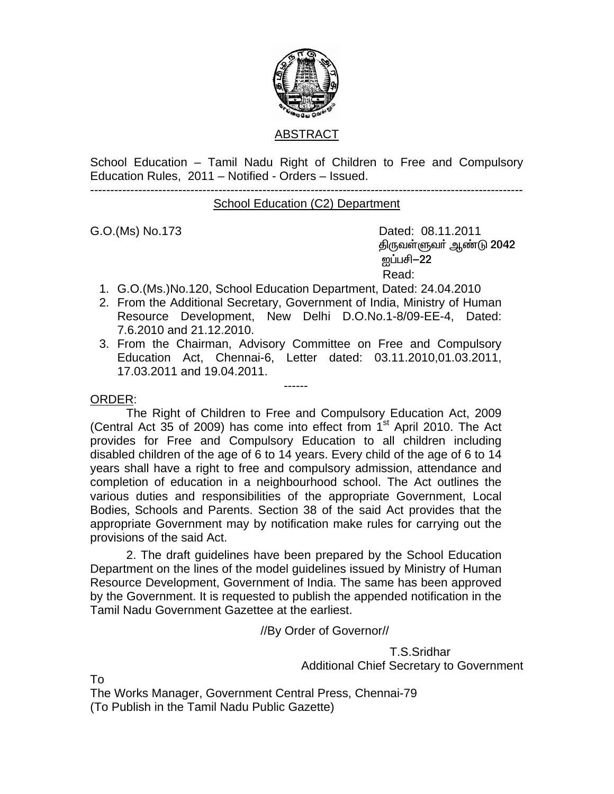

#### ABSTRACT

School Education – Tamil Nadu Right of Children to Free and Compulsory Education Rules, 2011 – Notified - Orders – Issued.

------------------------------------------------------------------------------------------------------------

School Education (C2) Department

G.O.(Ms) No.173 Dated: 08.11.2011 திருவள்ளுவா் ஆண்டு 2042 <u>ன</u>ப்பசி–22 Read:

- 1. G.O.(Ms.)No.120, School Education Department, Dated: 24.04.2010
- 2. From the Additional Secretary, Government of India, Ministry of Human Resource Development, New Delhi D.O.No.1-8/09-EE-4, Dated: 7.6.2010 and 21.12.2010.
- 3. From the Chairman, Advisory Committee on Free and Compulsory Education Act, Chennai-6, Letter dated: 03.11.2010,01.03.2011, 17.03.2011 and 19.04.2011.

------

#### ORDER:

 The Right of Children to Free and Compulsory Education Act, 2009 (Central Act 35 of 2009) has come into effect from  $1<sup>st</sup>$  April 2010. The Act provides for Free and Compulsory Education to all children including disabled children of the age of 6 to 14 years. Every child of the age of 6 to 14 years shall have a right to free and compulsory admission, attendance and completion of education in a neighbourhood school. The Act outlines the various duties and responsibilities of the appropriate Government, Local Bodies, Schools and Parents. Section 38 of the said Act provides that the appropriate Government may by notification make rules for carrying out the provisions of the said Act.

 2. The draft guidelines have been prepared by the School Education Department on the lines of the model guidelines issued by Ministry of Human Resource Development, Government of India. The same has been approved by the Government. It is requested to publish the appended notification in the Tamil Nadu Government Gazettee at the earliest.

//By Order of Governor//

 T.S.Sridhar Additional Chief Secretary to Government

To

The Works Manager, Government Central Press, Chennai-79 (To Publish in the Tamil Nadu Public Gazette)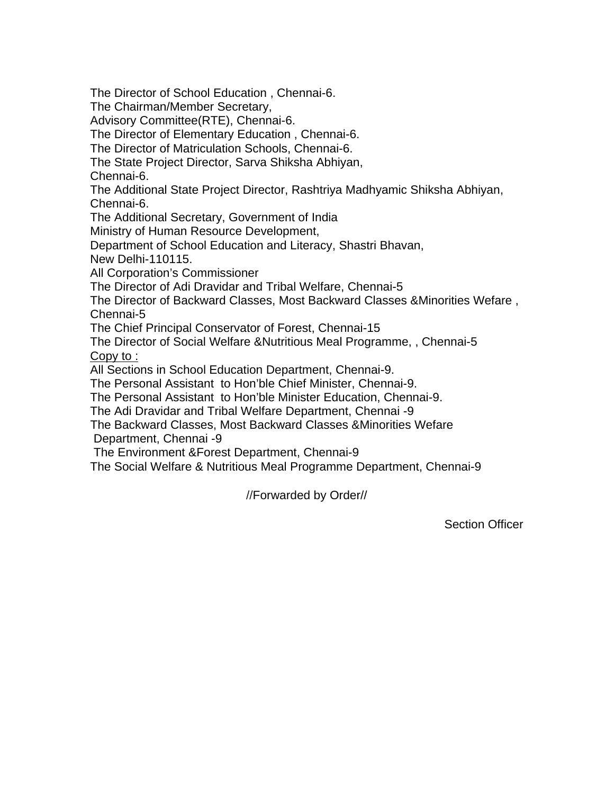The Director of School Education , Chennai-6.

The Chairman/Member Secretary,

Advisory Committee(RTE), Chennai-6.

The Director of Elementary Education , Chennai-6.

The Director of Matriculation Schools, Chennai-6.

The State Project Director, Sarva Shiksha Abhiyan,

Chennai-6.

The Additional State Project Director, Rashtriya Madhyamic Shiksha Abhiyan, Chennai-6.

The Additional Secretary, Government of India

Ministry of Human Resource Development,

Department of School Education and Literacy, Shastri Bhavan,

New Delhi-110115.

All Corporation's Commissioner

The Director of Adi Dravidar and Tribal Welfare, Chennai-5

The Director of Backward Classes, Most Backward Classes &Minorities Wefare , Chennai-5

The Chief Principal Conservator of Forest, Chennai-15

The Director of Social Welfare &Nutritious Meal Programme, , Chennai-5 Copy to :

All Sections in School Education Department, Chennai-9.

The Personal Assistant to Hon'ble Chief Minister, Chennai-9.

The Personal Assistant to Hon'ble Minister Education, Chennai-9.

The Adi Dravidar and Tribal Welfare Department, Chennai -9

 The Backward Classes, Most Backward Classes &Minorities Wefare Department, Chennai -9

The Environment &Forest Department, Chennai-9

The Social Welfare & Nutritious Meal Programme Department, Chennai-9

//Forwarded by Order//

Section Officer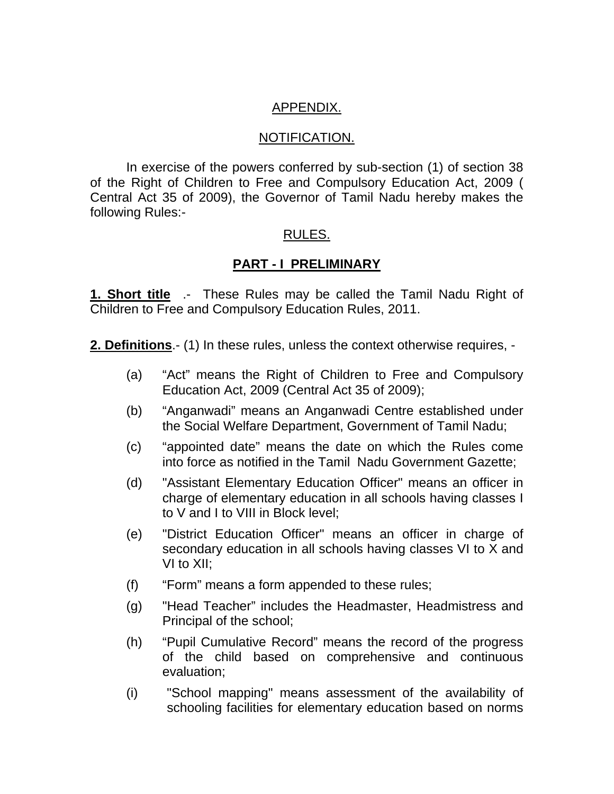### APPENDIX.

#### NOTIFICATION.

 In exercise of the powers conferred by sub-section (1) of section 38 of the Right of Children to Free and Compulsory Education Act, 2009 ( Central Act 35 of 2009), the Governor of Tamil Nadu hereby makes the following Rules:-

### RULES.

### **PART - I PRELIMINARY**

**1. Short title** .- These Rules may be called the Tamil Nadu Right of Children to Free and Compulsory Education Rules, 2011.

**2. Definitions**.- (1) In these rules, unless the context otherwise requires, -

- (a) "Act" means the Right of Children to Free and Compulsory Education Act, 2009 (Central Act 35 of 2009);
- (b) "Anganwadi" means an Anganwadi Centre established under the Social Welfare Department, Government of Tamil Nadu;
- (c) "appointed date" means the date on which the Rules come into force as notified in the Tamil Nadu Government Gazette;
- (d) "Assistant Elementary Education Officer" means an officer in charge of elementary education in all schools having classes I to V and I to VIII in Block level;
- (e) "District Education Officer" means an officer in charge of secondary education in all schools having classes VI to X and VI to XII;
- (f) "Form" means a form appended to these rules;
- (g) "Head Teacher" includes the Headmaster, Headmistress and Principal of the school;
- (h) "Pupil Cumulative Record" means the record of the progress of the child based on comprehensive and continuous evaluation;
- (i) "School mapping" means assessment of the availability of schooling facilities for elementary education based on norms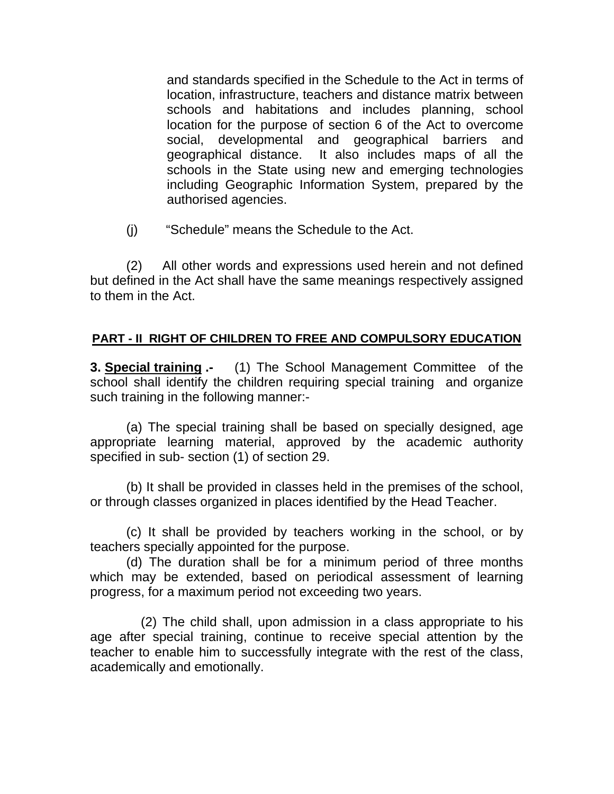and standards specified in the Schedule to the Act in terms of location, infrastructure, teachers and distance matrix between schools and habitations and includes planning, school location for the purpose of section 6 of the Act to overcome social, developmental and geographical barriers and geographical distance. It also includes maps of all the schools in the State using new and emerging technologies including Geographic Information System, prepared by the authorised agencies.

(j) "Schedule" means the Schedule to the Act.

(2) All other words and expressions used herein and not defined but defined in the Act shall have the same meanings respectively assigned to them in the Act.

### **PART - II RIGHT OF CHILDREN TO FREE AND COMPULSORY EDUCATION**

**3. Special training .-** (1) The School Management Committee of the school shall identify the children requiring special training and organize such training in the following manner:-

 (a) The special training shall be based on specially designed, age appropriate learning material, approved by the academic authority specified in sub- section (1) of section 29.

 (b) It shall be provided in classes held in the premises of the school, or through classes organized in places identified by the Head Teacher.

 (c) It shall be provided by teachers working in the school, or by teachers specially appointed for the purpose.

 (d) The duration shall be for a minimum period of three months which may be extended, based on periodical assessment of learning progress, for a maximum period not exceeding two years.

 (2) The child shall, upon admission in a class appropriate to his age after special training, continue to receive special attention by the teacher to enable him to successfully integrate with the rest of the class, academically and emotionally.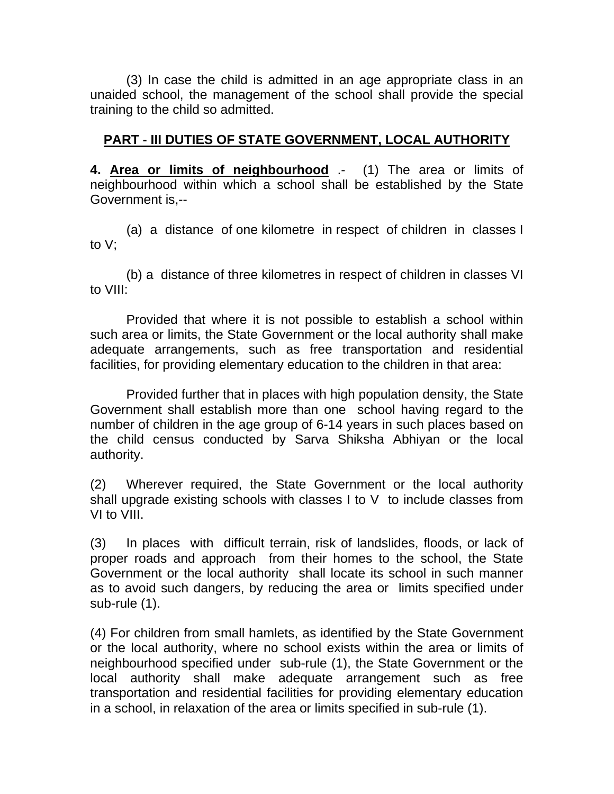(3) In case the child is admitted in an age appropriate class in an unaided school, the management of the school shall provide the special training to the child so admitted.

### **PART - III DUTIES OF STATE GOVERNMENT, LOCAL AUTHORITY**

**4. Area or limits of neighbourhood** .- (1) The area or limits of neighbourhood within which a school shall be established by the State Government is,--

 (a) a distance of one kilometre in respect of children in classes I to V;

 (b) a distance of three kilometres in respect of children in classes VI to VIII:

Provided that where it is not possible to establish a school within such area or limits, the State Government or the local authority shall make adequate arrangements, such as free transportation and residential facilities, for providing elementary education to the children in that area:

 Provided further that in places with high population density, the State Government shall establish more than one school having regard to the number of children in the age group of 6-14 years in such places based on the child census conducted by Sarva Shiksha Abhiyan or the local authority.

(2) Wherever required, the State Government or the local authority shall upgrade existing schools with classes I to V to include classes from VI to VIII.

(3) In places with difficult terrain, risk of landslides, floods, or lack of proper roads and approach from their homes to the school, the State Government or the local authority shall locate its school in such manner as to avoid such dangers, by reducing the area or limits specified under sub-rule (1).

(4) For children from small hamlets, as identified by the State Government or the local authority, where no school exists within the area or limits of neighbourhood specified under sub-rule (1), the State Government or the local authority shall make adequate arrangement such as free transportation and residential facilities for providing elementary education in a school, in relaxation of the area or limits specified in sub-rule (1).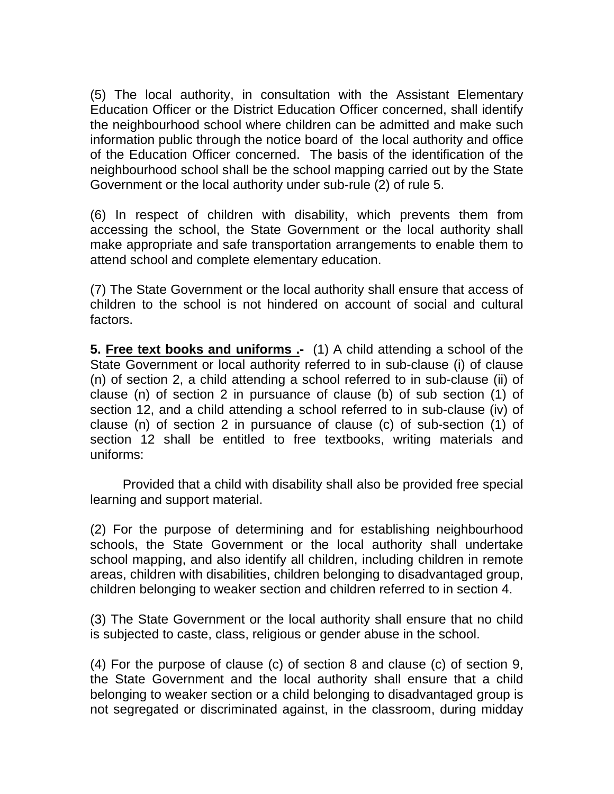(5) The local authority, in consultation with the Assistant Elementary Education Officer or the District Education Officer concerned, shall identify the neighbourhood school where children can be admitted and make such information public through the notice board of the local authority and office of the Education Officer concerned. The basis of the identification of the neighbourhood school shall be the school mapping carried out by the State Government or the local authority under sub-rule (2) of rule 5.

(6) In respect of children with disability, which prevents them from accessing the school, the State Government or the local authority shall make appropriate and safe transportation arrangements to enable them to attend school and complete elementary education.

(7) The State Government or the local authority shall ensure that access of children to the school is not hindered on account of social and cultural factors.

**5. Free text books and uniforms .-** (1) A child attending a school of the State Government or local authority referred to in sub-clause (i) of clause (n) of section 2, a child attending a school referred to in sub-clause (ii) of clause (n) of section 2 in pursuance of clause (b) of sub section (1) of section 12, and a child attending a school referred to in sub-clause (iv) of clause (n) of section 2 in pursuance of clause (c) of sub-section (1) of section 12 shall be entitled to free textbooks, writing materials and uniforms:

 Provided that a child with disability shall also be provided free special learning and support material.

(2) For the purpose of determining and for establishing neighbourhood schools, the State Government or the local authority shall undertake school mapping, and also identify all children, including children in remote areas, children with disabilities, children belonging to disadvantaged group, children belonging to weaker section and children referred to in section 4.

(3) The State Government or the local authority shall ensure that no child is subjected to caste, class, religious or gender abuse in the school.

(4) For the purpose of clause (c) of section 8 and clause (c) of section 9, the State Government and the local authority shall ensure that a child belonging to weaker section or a child belonging to disadvantaged group is not segregated or discriminated against, in the classroom, during midday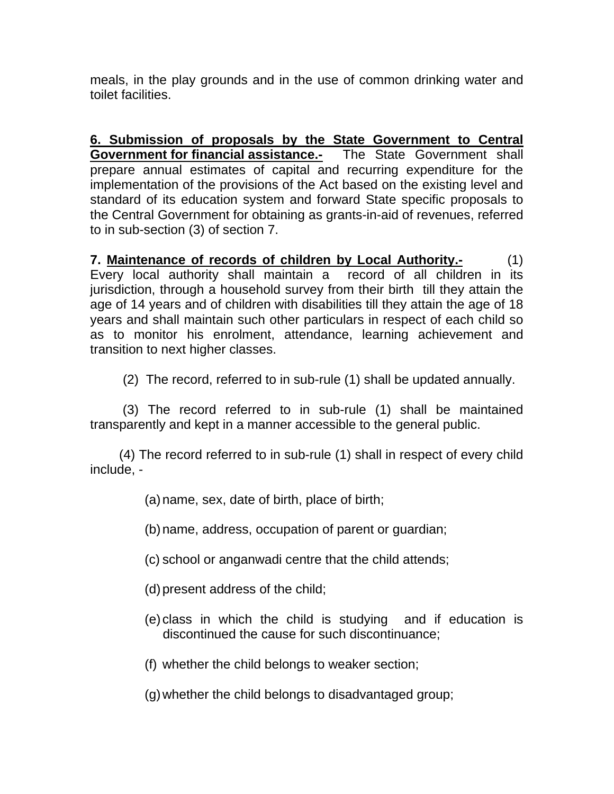meals, in the play grounds and in the use of common drinking water and toilet facilities.

**6. Submission of proposals by the State Government to Central Government for financial assistance.-** The State Government shall prepare annual estimates of capital and recurring expenditure for the implementation of the provisions of the Act based on the existing level and standard of its education system and forward State specific proposals to the Central Government for obtaining as grants-in-aid of revenues, referred to in sub-section (3) of section 7.

**7. Maintenance of records of children by Local Authority.-** (1) Every local authority shall maintain a record of all children in its jurisdiction, through a household survey from their birth till they attain the age of 14 years and of children with disabilities till they attain the age of 18 years and shall maintain such other particulars in respect of each child so as to monitor his enrolment, attendance, learning achievement and transition to next higher classes.

(2) The record, referred to in sub-rule (1) shall be updated annually.

 (3) The record referred to in sub-rule (1) shall be maintained transparently and kept in a manner accessible to the general public.

 (4) The record referred to in sub-rule (1) shall in respect of every child include, -

(a) name, sex, date of birth, place of birth;

(b) name, address, occupation of parent or guardian;

- (c) school or anganwadi centre that the child attends;
- (d) present address of the child;
- (e) class in which the child is studying and if education is discontinued the cause for such discontinuance;
- (f) whether the child belongs to weaker section;

(g) whether the child belongs to disadvantaged group;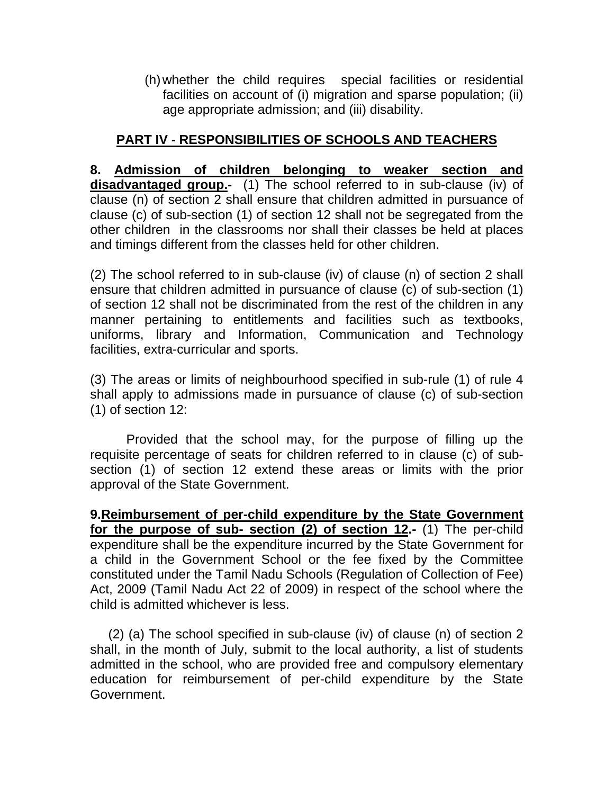(h) whether the child requires special facilities or residential facilities on account of (i) migration and sparse population; (ii) age appropriate admission; and (iii) disability.

### **PART IV - RESPONSIBILITIES OF SCHOOLS AND TEACHERS**

**8. Admission of children belonging to weaker section and disadvantaged group.-** (1) The school referred to in sub-clause (iv) of clause (n) of section 2 shall ensure that children admitted in pursuance of clause (c) of sub-section (1) of section 12 shall not be segregated from the other children in the classrooms nor shall their classes be held at places and timings different from the classes held for other children.

(2) The school referred to in sub-clause (iv) of clause (n) of section 2 shall ensure that children admitted in pursuance of clause (c) of sub-section (1) of section 12 shall not be discriminated from the rest of the children in any manner pertaining to entitlements and facilities such as textbooks, uniforms, library and Information, Communication and Technology facilities, extra-curricular and sports.

(3) The areas or limits of neighbourhood specified in sub-rule (1) of rule 4 shall apply to admissions made in pursuance of clause (c) of sub-section (1) of section 12:

 Provided that the school may, for the purpose of filling up the requisite percentage of seats for children referred to in clause (c) of subsection (1) of section 12 extend these areas or limits with the prior approval of the State Government.

**9.Reimbursement of per-child expenditure by the State Government for the purpose of sub- section (2) of section 12.-** (1) The per-child expenditure shall be the expenditure incurred by the State Government for a child in the Government School or the fee fixed by the Committee constituted under the Tamil Nadu Schools (Regulation of Collection of Fee) Act, 2009 (Tamil Nadu Act 22 of 2009) in respect of the school where the child is admitted whichever is less.

 (2) (a) The school specified in sub-clause (iv) of clause (n) of section 2 shall, in the month of July, submit to the local authority, a list of students admitted in the school, who are provided free and compulsory elementary education for reimbursement of per-child expenditure by the State Government.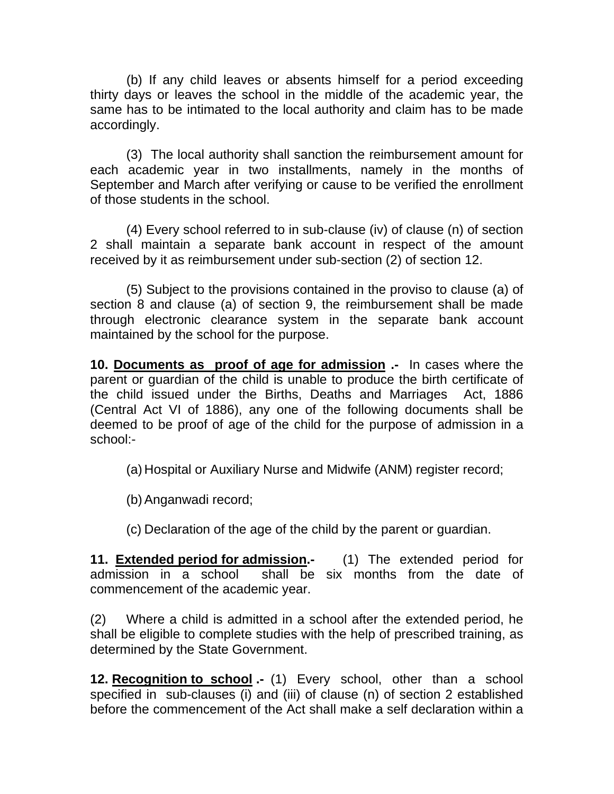(b) If any child leaves or absents himself for a period exceeding thirty days or leaves the school in the middle of the academic year, the same has to be intimated to the local authority and claim has to be made accordingly.

(3) The local authority shall sanction the reimbursement amount for each academic year in two installments, namely in the months of September and March after verifying or cause to be verified the enrollment of those students in the school.

 (4) Every school referred to in sub-clause (iv) of clause (n) of section 2 shall maintain a separate bank account in respect of the amount received by it as reimbursement under sub-section (2) of section 12.

 (5) Subject to the provisions contained in the proviso to clause (a) of section 8 and clause (a) of section 9, the reimbursement shall be made through electronic clearance system in the separate bank account maintained by the school for the purpose.

**10. Documents as proof of age for admission .-** In cases where the parent or guardian of the child is unable to produce the birth certificate of the child issued under the Births, Deaths and Marriages Act, 1886 (Central Act VI of 1886), any one of the following documents shall be deemed to be proof of age of the child for the purpose of admission in a school:-

(a) Hospital or Auxiliary Nurse and Midwife (ANM) register record;

(b) Anganwadi record;

(c) Declaration of the age of the child by the parent or guardian.

**11. Extended period for admission.-** (1) The extended period for admission in a school shall be six months from the date of commencement of the academic year.

(2) Where a child is admitted in a school after the extended period, he shall be eligible to complete studies with the help of prescribed training, as determined by the State Government.

**12. Recognition to school .-** (1) Every school, other than a school specified in sub-clauses (i) and (iii) of clause (n) of section 2 established before the commencement of the Act shall make a self declaration within a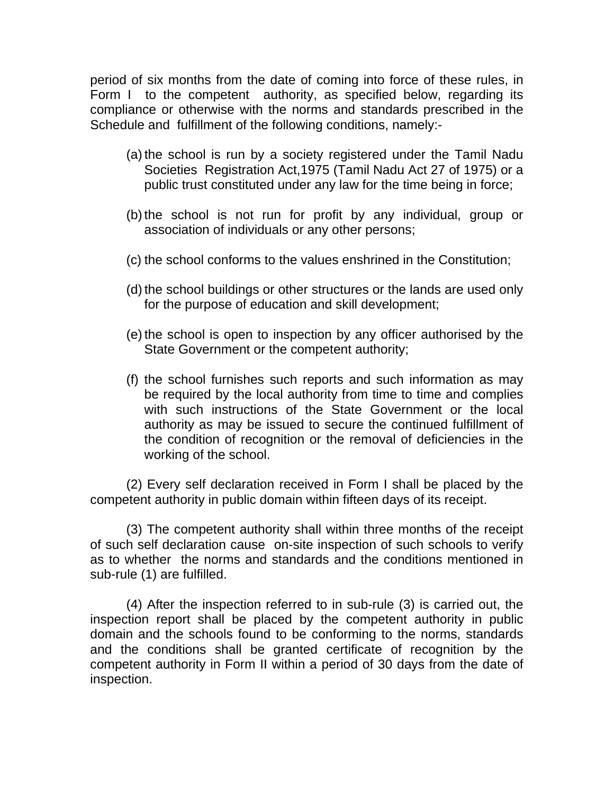period of six months from the date of coming into force of these rules, in Form I to the competent authority, as specified below, regarding its compliance or otherwise with the norms and standards prescribed in the Schedule and fulfillment of the following conditions, namely:-

- (a) the school is run by a society registered under the Tamil Nadu Societies Registration Act,1975 (Tamil Nadu Act 27 of 1975) or a public trust constituted under any law for the time being in force;
- (b) the school is not run for profit by any individual, group or association of individuals or any other persons;
- (c) the school conforms to the values enshrined in the Constitution;
- (d) the school buildings or other structures or the lands are used only for the purpose of education and skill development;
- (e) the school is open to inspection by any officer authorised by the State Government or the competent authority;
- (f) the school furnishes such reports and such information as may be required by the local authority from time to time and complies with such instructions of the State Government or the local authority as may be issued to secure the continued fulfillment of the condition of recognition or the removal of deficiencies in the working of the school.

(2) Every self declaration received in Form I shall be placed by the competent authority in public domain within fifteen days of its receipt.

(3) The competent authority shall within three months of the receipt of such self declaration cause on-site inspection of such schools to verify as to whether the norms and standards and the conditions mentioned in sub-rule (1) are fulfilled.

(4) After the inspection referred to in sub-rule (3) is carried out, the inspection report shall be placed by the competent authority in public domain and the schools found to be conforming to the norms, standards and the conditions shall be granted certificate of recognition by the competent authority in Form II within a period of 30 days from the date of inspection.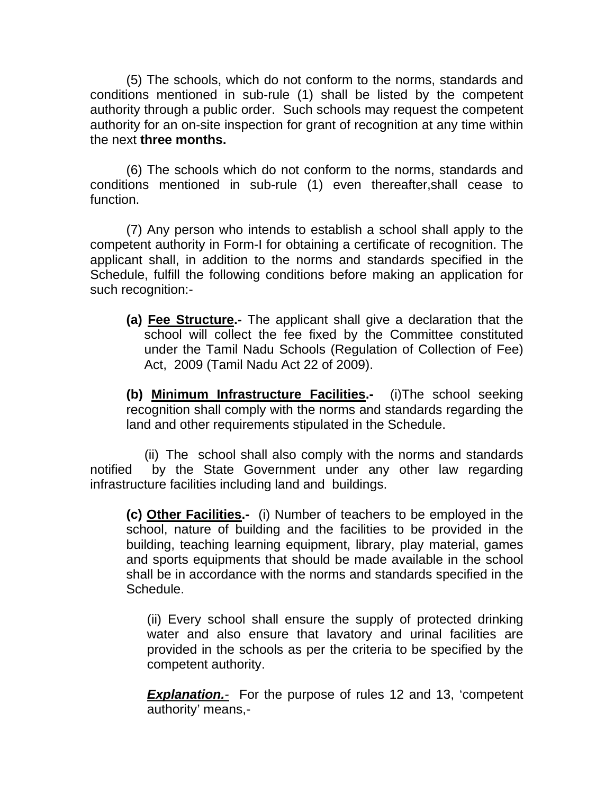(5) The schools, which do not conform to the norms, standards and conditions mentioned in sub-rule (1) shall be listed by the competent authority through a public order. Such schools may request the competent authority for an on-site inspection for grant of recognition at any time within the next **three months.** 

(6) The schools which do not conform to the norms, standards and conditions mentioned in sub-rule (1) even thereafter,shall cease to function.

(7) Any person who intends to establish a school shall apply to the competent authority in Form-I for obtaining a certificate of recognition. The applicant shall, in addition to the norms and standards specified in the Schedule, fulfill the following conditions before making an application for such recognition:-

**(a) Fee Structure.-** The applicant shall give a declaration that the school will collect the fee fixed by the Committee constituted under the Tamil Nadu Schools (Regulation of Collection of Fee) Act, 2009 (Tamil Nadu Act 22 of 2009).

**(b) Minimum Infrastructure Facilities.-** (i)The school seeking recognition shall comply with the norms and standards regarding the land and other requirements stipulated in the Schedule.

 (ii) The school shall also comply with the norms and standards notified by the State Government under any other law regarding infrastructure facilities including land and buildings.

**(c) Other Facilities.-** (i) Number of teachers to be employed in the school, nature of building and the facilities to be provided in the building, teaching learning equipment, library, play material, games and sports equipments that should be made available in the school shall be in accordance with the norms and standards specified in the Schedule.

(ii) Every school shall ensure the supply of protected drinking water and also ensure that lavatory and urinal facilities are provided in the schools as per the criteria to be specified by the competent authority.

*Explanation.-* For the purpose of rules 12 and 13, 'competent authority' means,-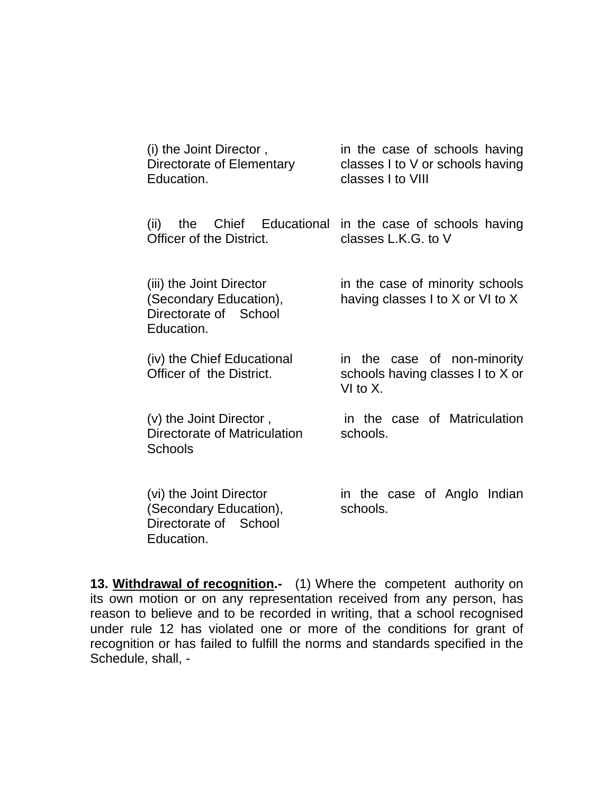| (i) the Joint Director,<br>Directorate of Elementary<br>Education.                        | in the case of schools having<br>classes I to V or schools having<br>classes I to VIII |
|-------------------------------------------------------------------------------------------|----------------------------------------------------------------------------------------|
| the Chief Educational<br>(ii)<br>Officer of the District.                                 | in the case of schools having<br>classes L.K.G. to V                                   |
| (iii) the Joint Director<br>(Secondary Education),<br>Directorate of School<br>Education. | in the case of minority schools<br>having classes I to X or VI to X                    |
| (iv) the Chief Educational<br>Officer of the District.                                    | in the case of non-minority<br>schools having classes I to X or<br>VI to $X$ .         |
| (v) the Joint Director,<br>Directorate of Matriculation<br><b>Schools</b>                 | in the case of Matriculation<br>schools.                                               |
| (vi) the Joint Director<br>(Secondary Education),<br>Directorate of School<br>Education.  | in the case of Anglo Indian<br>schools.                                                |

**13. Withdrawal of recognition.-** (1) Where the competent authority on its own motion or on any representation received from any person, has reason to believe and to be recorded in writing, that a school recognised under rule 12 has violated one or more of the conditions for grant of recognition or has failed to fulfill the norms and standards specified in the Schedule, shall, -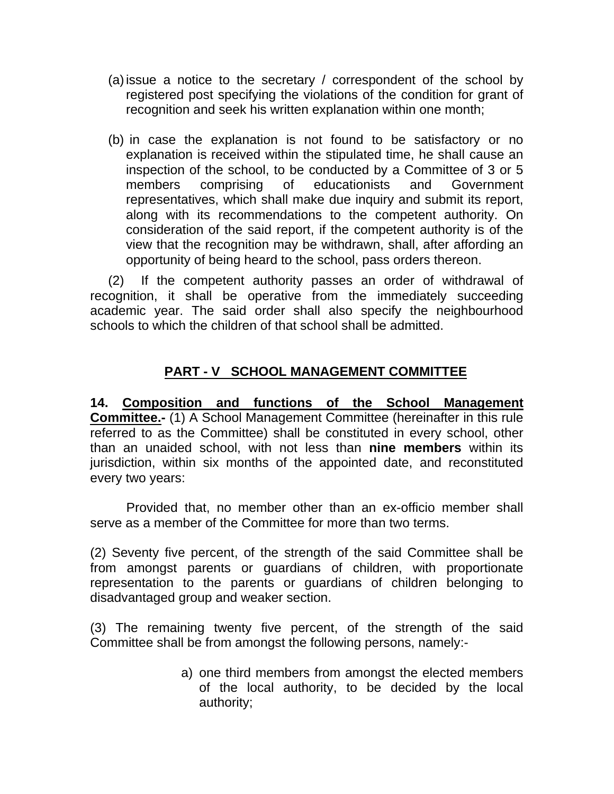- (a) issue a notice to the secretary / correspondent of the school by registered post specifying the violations of the condition for grant of recognition and seek his written explanation within one month;
- (b) in case the explanation is not found to be satisfactory or no explanation is received within the stipulated time, he shall cause an inspection of the school, to be conducted by a Committee of 3 or 5 members comprising of educationists and Government representatives, which shall make due inquiry and submit its report, along with its recommendations to the competent authority. On consideration of the said report, if the competent authority is of the view that the recognition may be withdrawn, shall, after affording an opportunity of being heard to the school, pass orders thereon.

(2) If the competent authority passes an order of withdrawal of recognition, it shall be operative from the immediately succeeding academic year. The said order shall also specify the neighbourhood schools to which the children of that school shall be admitted.

### **PART - V SCHOOL MANAGEMENT COMMITTEE**

**14. Composition and functions of the School Management Committee.-** (1) A School Management Committee (hereinafter in this rule referred to as the Committee) shall be constituted in every school, other than an unaided school, with not less than **nine members** within its jurisdiction, within six months of the appointed date, and reconstituted every two years:

 Provided that, no member other than an ex-officio member shall serve as a member of the Committee for more than two terms.

(2) Seventy five percent, of the strength of the said Committee shall be from amongst parents or guardians of children, with proportionate representation to the parents or guardians of children belonging to disadvantaged group and weaker section.

(3) The remaining twenty five percent, of the strength of the said Committee shall be from amongst the following persons, namely:-

> a) one third members from amongst the elected members of the local authority, to be decided by the local authority;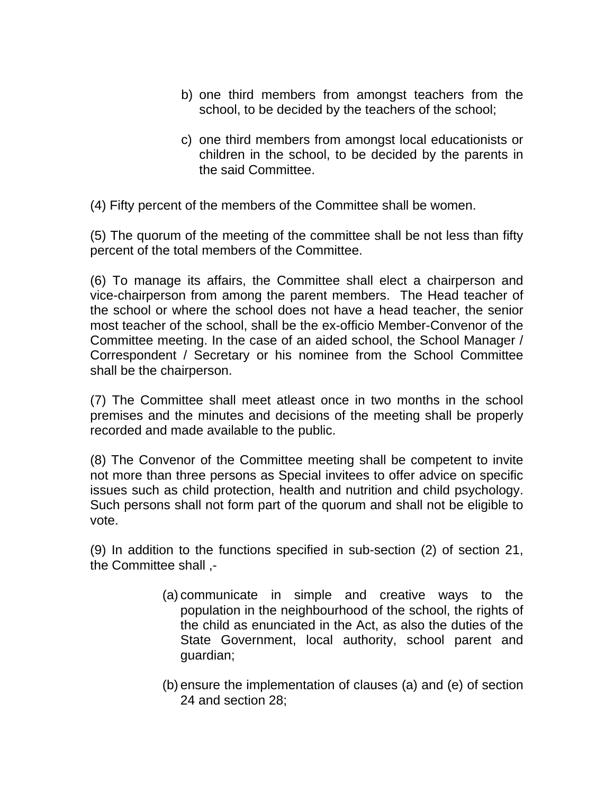- b) one third members from amongst teachers from the school, to be decided by the teachers of the school;
- c) one third members from amongst local educationists or children in the school, to be decided by the parents in the said Committee.

(4) Fifty percent of the members of the Committee shall be women.

(5) The quorum of the meeting of the committee shall be not less than fifty percent of the total members of the Committee.

(6) To manage its affairs, the Committee shall elect a chairperson and vice-chairperson from among the parent members. The Head teacher of the school or where the school does not have a head teacher, the senior most teacher of the school, shall be the ex-officio Member-Convenor of the Committee meeting. In the case of an aided school, the School Manager / Correspondent / Secretary or his nominee from the School Committee shall be the chairperson.

(7) The Committee shall meet atleast once in two months in the school premises and the minutes and decisions of the meeting shall be properly recorded and made available to the public.

(8) The Convenor of the Committee meeting shall be competent to invite not more than three persons as Special invitees to offer advice on specific issues such as child protection, health and nutrition and child psychology. Such persons shall not form part of the quorum and shall not be eligible to vote.

(9) In addition to the functions specified in sub-section (2) of section 21, the Committee shall ,-

- (a) communicate in simple and creative ways to the population in the neighbourhood of the school, the rights of the child as enunciated in the Act, as also the duties of the State Government, local authority, school parent and guardian;
- (b) ensure the implementation of clauses (a) and (e) of section 24 and section 28;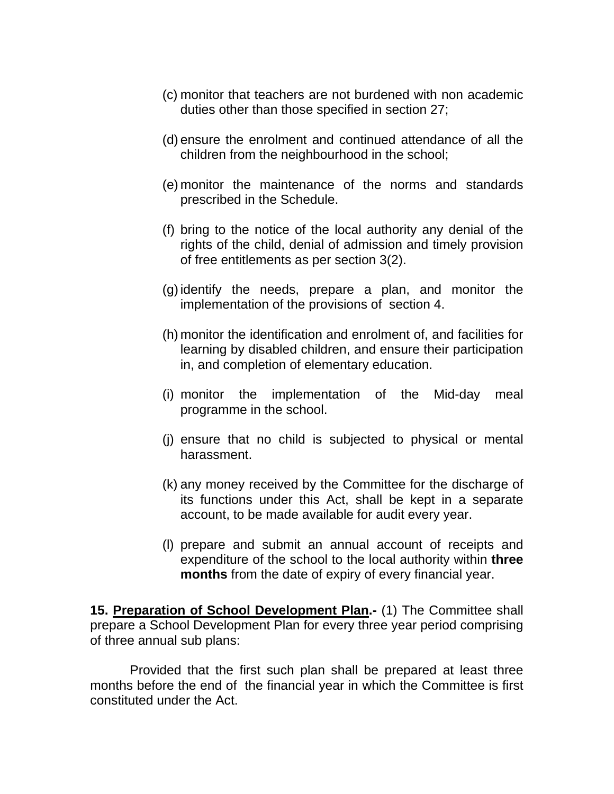- (c) monitor that teachers are not burdened with non academic duties other than those specified in section 27;
- (d) ensure the enrolment and continued attendance of all the children from the neighbourhood in the school;
- (e) monitor the maintenance of the norms and standards prescribed in the Schedule.
- (f) bring to the notice of the local authority any denial of the rights of the child, denial of admission and timely provision of free entitlements as per section 3(2).
- (g) identify the needs, prepare a plan, and monitor the implementation of the provisions of section 4.
- (h) monitor the identification and enrolment of, and facilities for learning by disabled children, and ensure their participation in, and completion of elementary education.
- (i) monitor the implementation of the Mid-day meal programme in the school.
- (j) ensure that no child is subjected to physical or mental harassment.
- (k) any money received by the Committee for the discharge of its functions under this Act, shall be kept in a separate account, to be made available for audit every year.
- (l) prepare and submit an annual account of receipts and expenditure of the school to the local authority within **three months** from the date of expiry of every financial year.

**15. Preparation of School Development Plan.-** (1) The Committee shall prepare a School Development Plan for every three year period comprising of three annual sub plans:

 Provided that the first such plan shall be prepared at least three months before the end of the financial year in which the Committee is first constituted under the Act.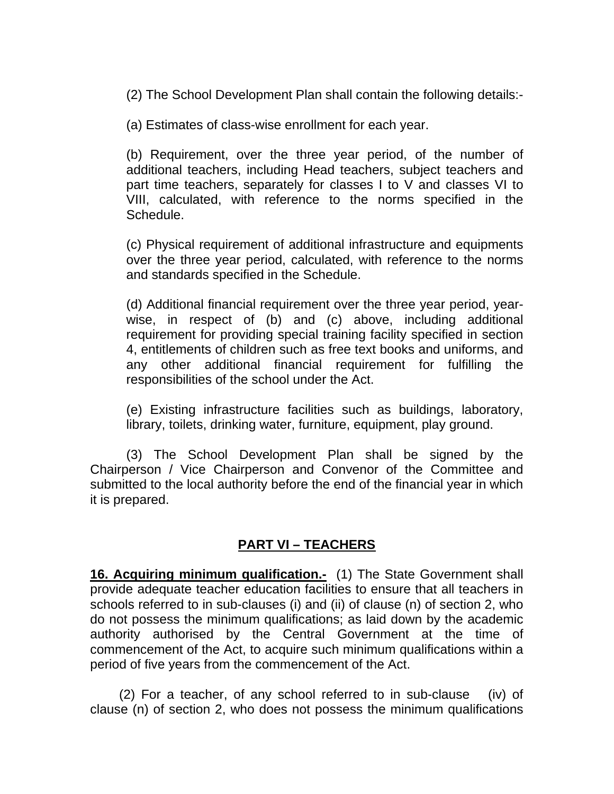(2) The School Development Plan shall contain the following details:-

(a) Estimates of class-wise enrollment for each year.

(b) Requirement, over the three year period, of the number of additional teachers, including Head teachers, subject teachers and part time teachers, separately for classes I to V and classes VI to VIII, calculated, with reference to the norms specified in the Schedule.

(c) Physical requirement of additional infrastructure and equipments over the three year period, calculated, with reference to the norms and standards specified in the Schedule.

(d) Additional financial requirement over the three year period, yearwise, in respect of (b) and (c) above, including additional requirement for providing special training facility specified in section 4, entitlements of children such as free text books and uniforms, and any other additional financial requirement for fulfilling the responsibilities of the school under the Act.

(e) Existing infrastructure facilities such as buildings, laboratory, library, toilets, drinking water, furniture, equipment, play ground.

(3) The School Development Plan shall be signed by the Chairperson / Vice Chairperson and Convenor of the Committee and submitted to the local authority before the end of the financial year in which it is prepared.

### **PART VI – TEACHERS**

**16. Acquiring minimum qualification.-** (1) The State Government shall provide adequate teacher education facilities to ensure that all teachers in schools referred to in sub-clauses (i) and (ii) of clause (n) of section 2, who do not possess the minimum qualifications; as laid down by the academic authority authorised by the Central Government at the time of commencement of the Act, to acquire such minimum qualifications within a period of five years from the commencement of the Act.

 (2) For a teacher, of any school referred to in sub-clause (iv) of clause (n) of section 2, who does not possess the minimum qualifications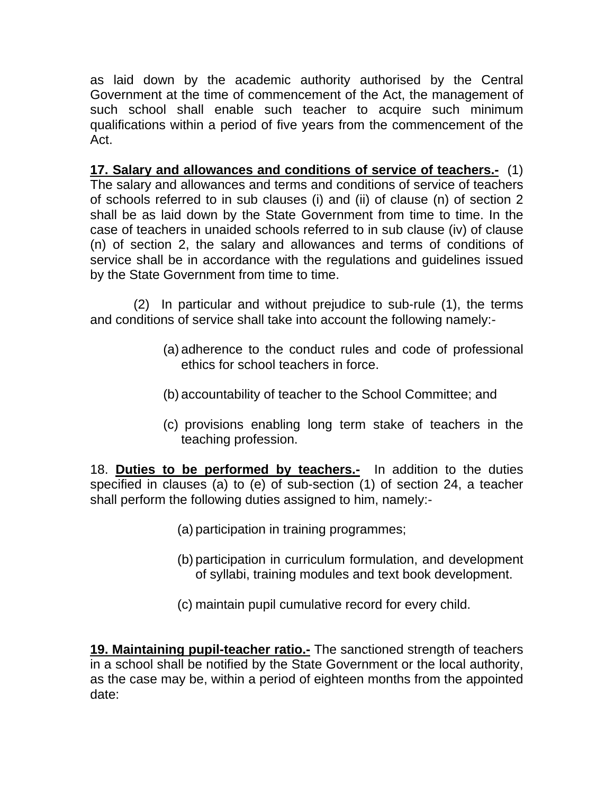as laid down by the academic authority authorised by the Central Government at the time of commencement of the Act, the management of such school shall enable such teacher to acquire such minimum qualifications within a period of five years from the commencement of the Act.

**17. Salary and allowances and conditions of service of teachers.-** (1) The salary and allowances and terms and conditions of service of teachers of schools referred to in sub clauses (i) and (ii) of clause (n) of section 2 shall be as laid down by the State Government from time to time. In the case of teachers in unaided schools referred to in sub clause (iv) of clause (n) of section 2, the salary and allowances and terms of conditions of service shall be in accordance with the regulations and guidelines issued by the State Government from time to time.

 (2) In particular and without prejudice to sub-rule (1), the terms and conditions of service shall take into account the following namely:-

- (a) adherence to the conduct rules and code of professional ethics for school teachers in force.
- (b) accountability of teacher to the School Committee; and
- (c) provisions enabling long term stake of teachers in the teaching profession.

18. **Duties to be performed by teachers.-** In addition to the duties specified in clauses (a) to (e) of sub-section (1) of section 24, a teacher shall perform the following duties assigned to him, namely:-

- (a) participation in training programmes;
- (b) participation in curriculum formulation, and development of syllabi, training modules and text book development.
- (c) maintain pupil cumulative record for every child.

**19. Maintaining pupil-teacher ratio.-** The sanctioned strength of teachers in a school shall be notified by the State Government or the local authority, as the case may be, within a period of eighteen months from the appointed date: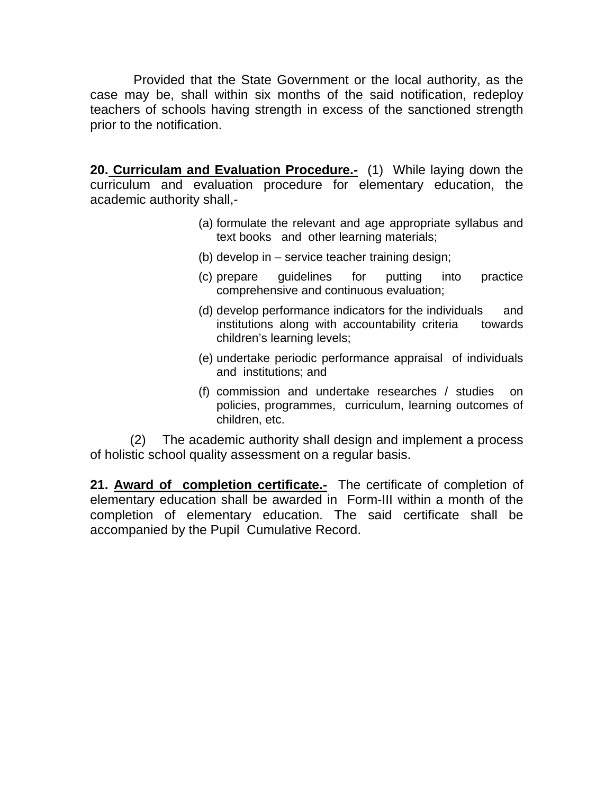Provided that the State Government or the local authority, as the case may be, shall within six months of the said notification, redeploy teachers of schools having strength in excess of the sanctioned strength prior to the notification.

**20. Curriculam and Evaluation Procedure.** (1) While laying down the curriculum and evaluation procedure for elementary education, the academic authority shall,-

- (a) formulate the relevant and age appropriate syllabus and text books and other learning materials;
- (b) develop in service teacher training design;
- (c) prepare guidelines for putting into practice comprehensive and continuous evaluation;
- (d) develop performance indicators for the individuals and institutions along with accountability criteria towards children's learning levels;
- (e) undertake periodic performance appraisal of individuals and institutions; and
- (f) commission and undertake researches / studies on policies, programmes, curriculum, learning outcomes of children, etc.

 (2) The academic authority shall design and implement a process of holistic school quality assessment on a regular basis.

21. Award of completion certificate.- The certificate of completion of elementary education shall be awarded in Form-III within a month of the completion of elementary education. The said certificate shall be accompanied by the Pupil Cumulative Record.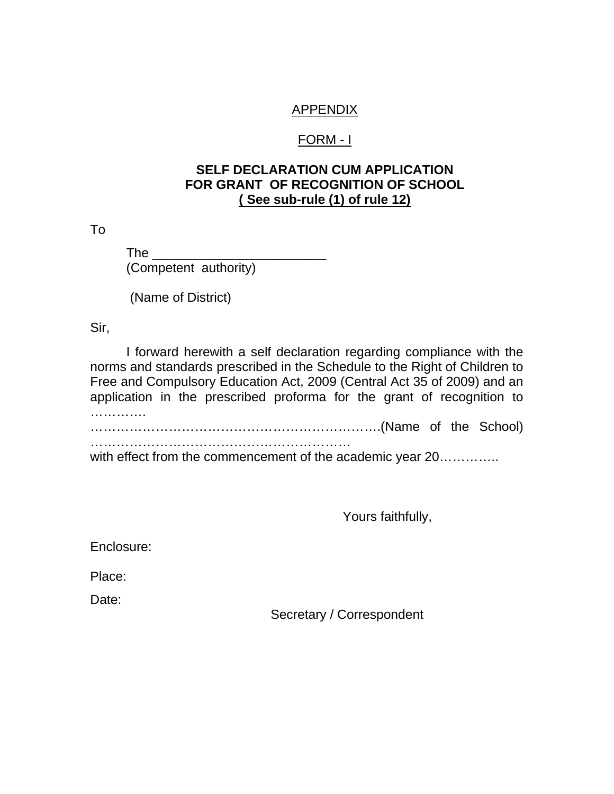#### APPENDIX

#### FORM - I

#### **SELF DECLARATION CUM APPLICATION FOR GRANT OF RECOGNITION OF SCHOOL ( See sub-rule (1) of rule 12)**

To

 $\mathsf{The}$ (Competent authority)

(Name of District)

Sir,

 I forward herewith a self declaration regarding compliance with the norms and standards prescribed in the Schedule to the Right of Children to Free and Compulsory Education Act, 2009 (Central Act 35 of 2009) and an application in the prescribed proforma for the grant of recognition to …………… ………………………………………………………….(Name of the School) ……………………………………………………

with effect from the commencement of the academic year 20..............

Yours faithfully,

Enclosure:

Place:

Date:

Secretary / Correspondent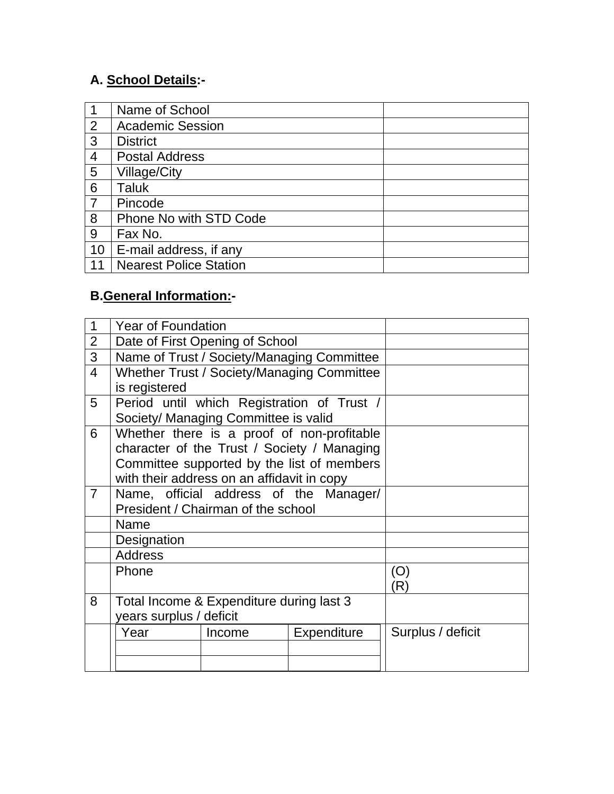### **A. School Details:-**

|                | Name of School                |
|----------------|-------------------------------|
| $\overline{2}$ | <b>Academic Session</b>       |
| 3              | <b>District</b>               |
| 4              | <b>Postal Address</b>         |
| 5              | Village/City                  |
| 6              | Taluk                         |
| $\overline{7}$ | Pincode                       |
| 8              | Phone No with STD Code        |
| 9              | Fax No.                       |
| 10             | E-mail address, if any        |
| 11             | <b>Nearest Police Station</b> |

### **B.General Information:-**

| 1              | <b>Year of Foundation</b>                  |                                            |                                             |                   |
|----------------|--------------------------------------------|--------------------------------------------|---------------------------------------------|-------------------|
| $\overline{2}$ | Date of First Opening of School            |                                            |                                             |                   |
| 3              | Name of Trust / Society/Managing Committee |                                            |                                             |                   |
| $\overline{4}$ |                                            |                                            | Whether Trust / Society/Managing Committee  |                   |
|                | is registered                              |                                            |                                             |                   |
| 5              |                                            |                                            | Period until which Registration of Trust /  |                   |
|                |                                            | Society/ Managing Committee is valid       |                                             |                   |
| 6              |                                            |                                            | Whether there is a proof of non-profitable  |                   |
|                |                                            |                                            | character of the Trust / Society / Managing |                   |
|                |                                            |                                            | Committee supported by the list of members  |                   |
|                |                                            | with their address on an affidavit in copy |                                             |                   |
| $\overline{7}$ | Name, official address of the Manager/     |                                            |                                             |                   |
|                | President / Chairman of the school         |                                            |                                             |                   |
|                | Name                                       |                                            |                                             |                   |
|                | Designation                                |                                            |                                             |                   |
|                | <b>Address</b>                             |                                            |                                             |                   |
|                | Phone                                      |                                            |                                             | (O)               |
|                |                                            |                                            |                                             | (R)               |
| 8              |                                            | Total Income & Expenditure during last 3   |                                             |                   |
|                | years surplus / deficit                    |                                            |                                             |                   |
|                | Year                                       | Income                                     | <b>Expenditure</b>                          | Surplus / deficit |
|                |                                            |                                            |                                             |                   |
|                |                                            |                                            |                                             |                   |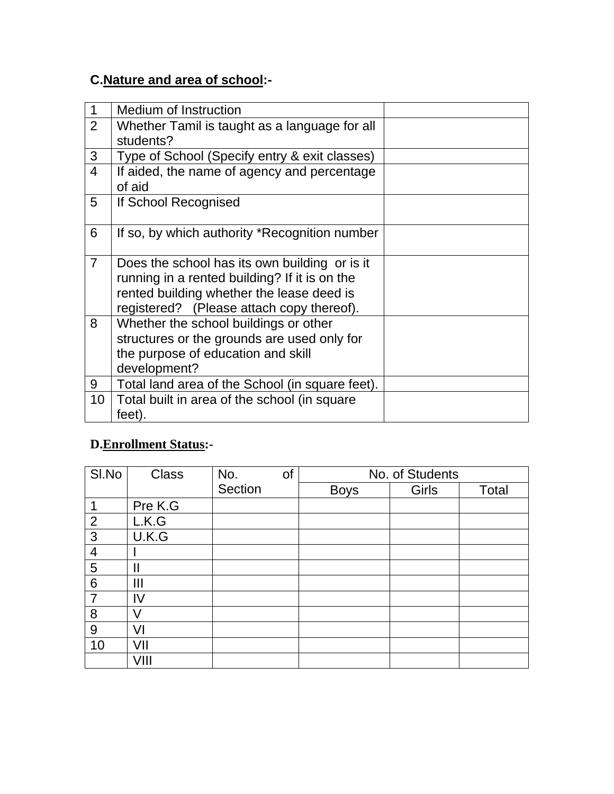### **C.Nature and area of school:-**

| $\mathbf 1$    | <b>Medium of Instruction</b>                                                                                                                                                             |  |
|----------------|------------------------------------------------------------------------------------------------------------------------------------------------------------------------------------------|--|
| 2              | Whether Tamil is taught as a language for all<br>students?                                                                                                                               |  |
| 3              | Type of School (Specify entry & exit classes)                                                                                                                                            |  |
| $\overline{4}$ | If aided, the name of agency and percentage<br>of aid                                                                                                                                    |  |
| 5              | If School Recognised                                                                                                                                                                     |  |
| 6              | If so, by which authority *Recognition number                                                                                                                                            |  |
| $\overline{7}$ | Does the school has its own building or is it<br>running in a rented building? If it is on the<br>rented building whether the lease deed is<br>registered? (Please attach copy thereof). |  |
| 8              | Whether the school buildings or other<br>structures or the grounds are used only for<br>the purpose of education and skill<br>development?                                               |  |
| 9              | Total land area of the School (in square feet).                                                                                                                                          |  |
| 10             | Total built in area of the school (in square<br>feet).                                                                                                                                   |  |

### **D.Enrollment Status:-**

| SI.No          | <b>Class</b> | No.     | of | No. of Students |       |       |
|----------------|--------------|---------|----|-----------------|-------|-------|
|                |              | Section |    | <b>Boys</b>     | Girls | Total |
|                | Pre K.G      |         |    |                 |       |       |
| 2              | L.K.G        |         |    |                 |       |       |
| 3              | U.K.G        |         |    |                 |       |       |
| $\overline{4}$ |              |         |    |                 |       |       |
| 5              |              |         |    |                 |       |       |
| 6              | Ш            |         |    |                 |       |       |
| $\overline{7}$ | IV           |         |    |                 |       |       |
| 8              | V            |         |    |                 |       |       |
| 9              | VI           |         |    |                 |       |       |
| 10             | VII          |         |    |                 |       |       |
|                | VIII         |         |    |                 |       |       |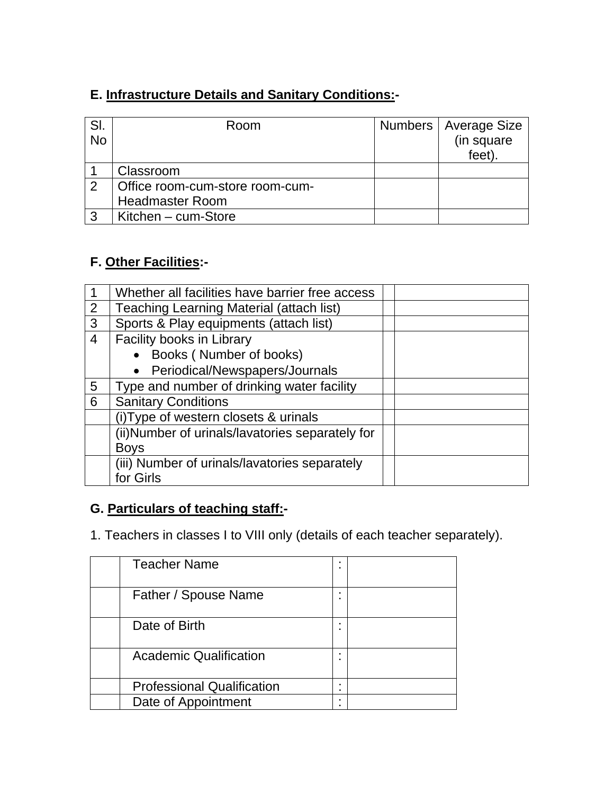### **E. Infrastructure Details and Sanitary Conditions:-**

| SI.<br><b>No</b> | Room                            | Numbers   Average Size<br>(in square<br>feet). |
|------------------|---------------------------------|------------------------------------------------|
|                  | Classroom                       |                                                |
| 2                | Office room-cum-store room-cum- |                                                |
|                  | <b>Headmaster Room</b>          |                                                |
| 3                | Kitchen – cum-Store             |                                                |

### **F. Other Facilities:-**

|   | Whether all facilities have barrier free access |  |
|---|-------------------------------------------------|--|
| 2 | Teaching Learning Material (attach list)        |  |
| 3 | Sports & Play equipments (attach list)          |  |
| 4 | Facility books in Library                       |  |
|   | • Books (Number of books)                       |  |
|   | • Periodical/Newspapers/Journals                |  |
| 5 | Type and number of drinking water facility      |  |
| 6 | <b>Sanitary Conditions</b>                      |  |
|   | (i) Type of western closets & urinals           |  |
|   | (ii)Number of urinals/lavatories separately for |  |
|   | <b>Boys</b>                                     |  |
|   | (iii) Number of urinals/lavatories separately   |  |
|   | for Girls                                       |  |

### **G. Particulars of teaching staff:-**

1. Teachers in classes I to VIII only (details of each teacher separately).

| <b>Teacher Name</b>               |   |  |
|-----------------------------------|---|--|
| Father / Spouse Name              |   |  |
| Date of Birth                     |   |  |
| <b>Academic Qualification</b>     |   |  |
| <b>Professional Qualification</b> | ٠ |  |
| Date of Appointment               | ٠ |  |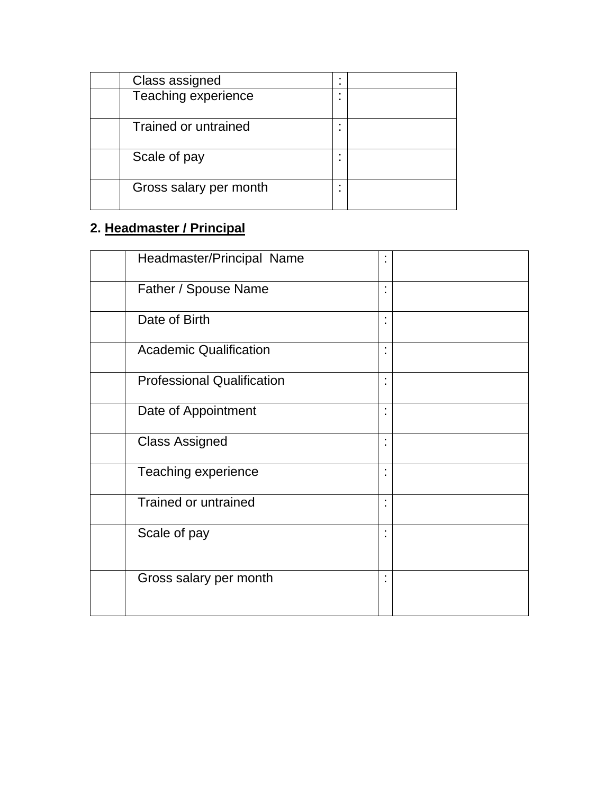| Class assigned         | ٠<br>٠ |  |
|------------------------|--------|--|
| Teaching experience    | ٠<br>٠ |  |
| Trained or untrained   | ٠      |  |
| Scale of pay           | ٠      |  |
| Gross salary per month | ٠<br>٠ |  |

## **2. Headmaster / Principal**

| Headmaster/Principal Name         | ٠<br>٠              |  |
|-----------------------------------|---------------------|--|
| Father / Spouse Name              | ٠<br>٠              |  |
| Date of Birth                     | ٠<br>٠              |  |
| <b>Academic Qualification</b>     | ٠<br>ä,             |  |
| <b>Professional Qualification</b> | ٠<br>×              |  |
| Date of Appointment               | $\blacksquare$<br>٠ |  |
| <b>Class Assigned</b>             | $\blacksquare$<br>٠ |  |
| Teaching experience               | $\blacksquare$<br>× |  |
| Trained or untrained              | ٠<br>$\blacksquare$ |  |
| Scale of pay                      | ٠                   |  |
| Gross salary per month            | ٠                   |  |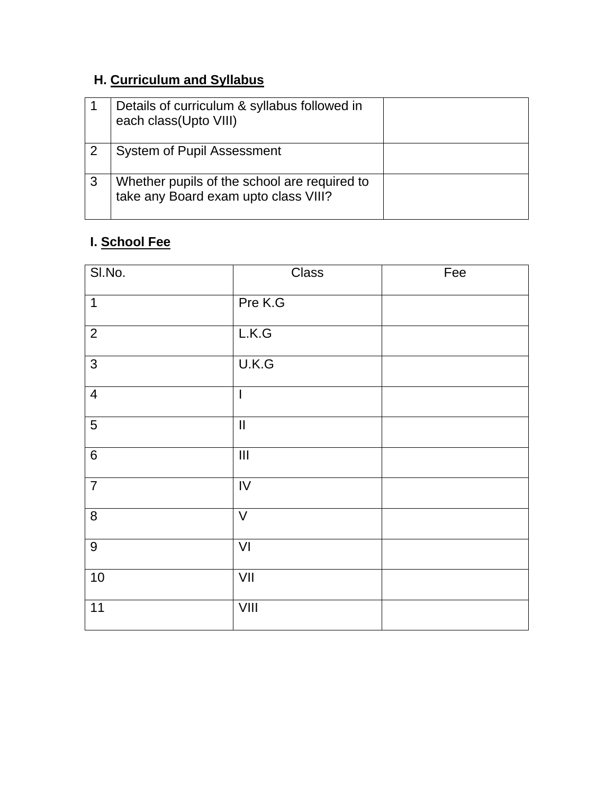### **H. Curriculum and Syllabus**

| Details of curriculum & syllabus followed in<br>each class(Upto VIII)                |  |
|--------------------------------------------------------------------------------------|--|
| <b>System of Pupil Assessment</b>                                                    |  |
| Whether pupils of the school are required to<br>take any Board exam upto class VIII? |  |

### **I. School Fee**

| SI.No.           | Class                              | Fee |
|------------------|------------------------------------|-----|
| $\mathbf{1}$     | Pre K.G                            |     |
| $\overline{2}$   | L.K.G                              |     |
| $\overline{3}$   | U.K.G                              |     |
| $\overline{4}$   | $\overline{\phantom{a}}$           |     |
| $\overline{5}$   | $\overline{\mathbf{u}}$            |     |
| $\,6\,$          | $\ensuremath{\mathsf{III}}\xspace$ |     |
| $\overline{7}$   | $\overline{N}$                     |     |
| $\bf 8$          | $\vee$                             |     |
| $\boldsymbol{9}$ | $\overline{V}$                     |     |
| 10               | $\overline{V}$                     |     |
| $\overline{11}$  | VIII                               |     |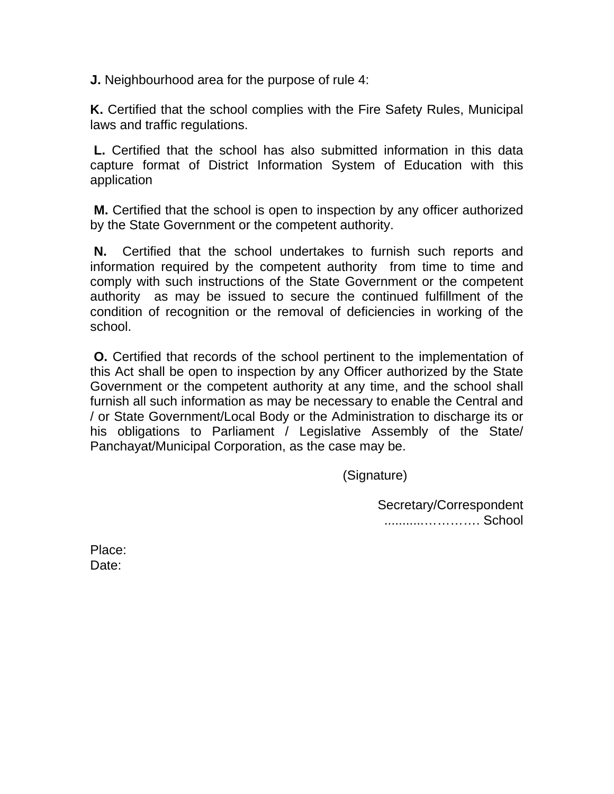**J.** Neighbourhood area for the purpose of rule 4:

**K.** Certified that the school complies with the Fire Safety Rules, Municipal laws and traffic regulations.

 **L.** Certified that the school has also submitted information in this data capture format of District Information System of Education with this application

 **M.** Certified that the school is open to inspection by any officer authorized by the State Government or the competent authority.

 **N.** Certified that the school undertakes to furnish such reports and information required by the competent authority from time to time and comply with such instructions of the State Government or the competent authority as may be issued to secure the continued fulfillment of the condition of recognition or the removal of deficiencies in working of the school.

 **O.** Certified that records of the school pertinent to the implementation of this Act shall be open to inspection by any Officer authorized by the State Government or the competent authority at any time, and the school shall furnish all such information as may be necessary to enable the Central and / or State Government/Local Body or the Administration to discharge its or his obligations to Parliament / Legislative Assembly of the State/ Panchayat/Municipal Corporation, as the case may be.

(Signature)

Secretary/Correspondent ...........…………. School

Place: Date: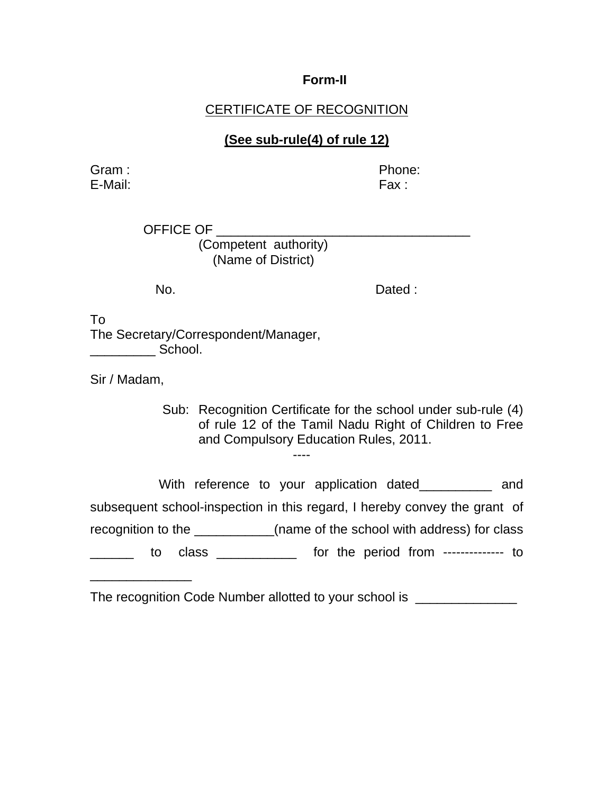#### **Form-II**

### **CERTIFICATE OF RECOGNITION**

### **(See sub-rule(4) of rule 12)**

Gram : **Contract Contract Contract Contract Contract Contract Contract Contract Contract Contract Contract Contract Contract Contract Contract Contract Contract Contract Contract Contract Contract Contract Contract Contrac** E-Mail: Fax : Fax : Fax : Fax : Fax : Fax : Fax : Fax : Fax : Fax : Fax : Fax : Fax : Fax : Fax : Fax : Fax : Fax : Fax : Fax : Fax : Fax : Fax : Fax : Fax : Fax : Fax : Fax : Fax : Fax : Fax : Fax : Fax : Fax : Fax : Fax

OFFICE OF (Competent authority) (Name of District)

No. Dated :

To The Secretary/Correspondent/Manager,  $\blacksquare$  School.

Sir / Madam,

\_\_\_\_\_\_\_\_\_\_\_\_\_\_

Sub: Recognition Certificate for the school under sub-rule (4) of rule 12 of the Tamil Nadu Right of Children to Free and Compulsory Education Rules, 2011. ----

With reference to your application dated\_\_\_\_\_\_\_\_\_\_ and subsequent school-inspection in this regard, I hereby convey the grant of recognition to the \_\_\_\_\_\_\_\_\_\_\_(name of the school with address) for class \_\_\_\_\_\_ to class \_\_\_\_\_\_\_\_\_\_\_ for the period from -------------- to

The recognition Code Number allotted to your school is \_\_\_\_\_\_\_\_\_\_\_\_\_\_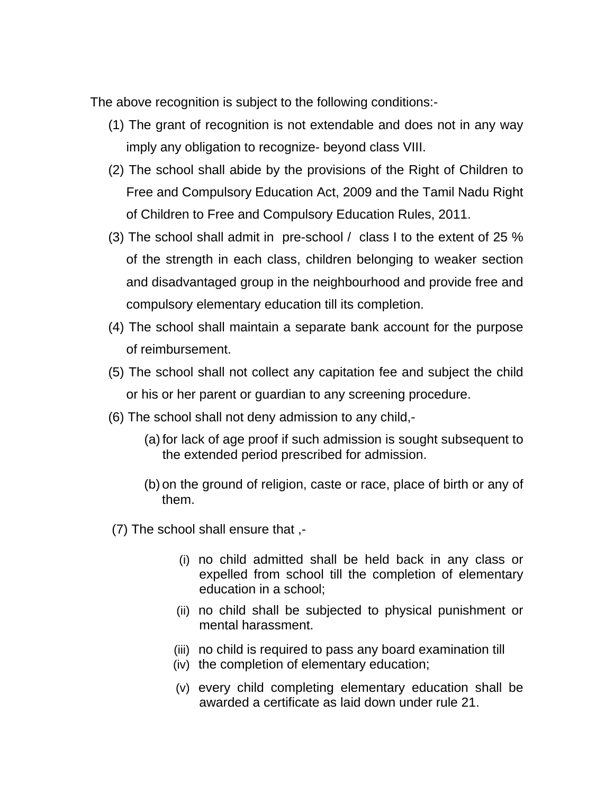The above recognition is subject to the following conditions:-

- (1) The grant of recognition is not extendable and does not in any way imply any obligation to recognize- beyond class VIII.
- (2) The school shall abide by the provisions of the Right of Children to Free and Compulsory Education Act, 2009 and the Tamil Nadu Right of Children to Free and Compulsory Education Rules, 2011.
- (3) The school shall admit in pre-school / class I to the extent of 25 % of the strength in each class, children belonging to weaker section and disadvantaged group in the neighbourhood and provide free and compulsory elementary education till its completion.
- (4) The school shall maintain a separate bank account for the purpose of reimbursement.
- (5) The school shall not collect any capitation fee and subject the child or his or her parent or guardian to any screening procedure.
- (6) The school shall not deny admission to any child,-
	- (a) for lack of age proof if such admission is sought subsequent to the extended period prescribed for admission.
	- (b) on the ground of religion, caste or race, place of birth or any of them.
- (7) The school shall ensure that ,-
	- (i) no child admitted shall be held back in any class or expelled from school till the completion of elementary education in a school;
	- (ii) no child shall be subjected to physical punishment or mental harassment.
	- (iii) no child is required to pass any board examination till
	- (iv) the completion of elementary education;
	- (v) every child completing elementary education shall be awarded a certificate as laid down under rule 21.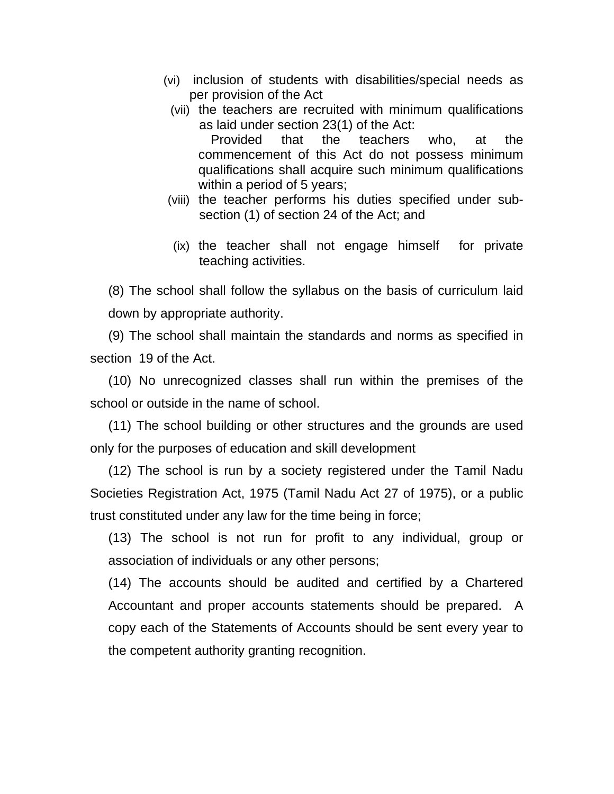- (vi) inclusion of students with disabilities/special needs as per provision of the Act
	- (vii) the teachers are recruited with minimum qualifications as laid under section 23(1) of the Act: Provided that the teachers who, at the commencement of this Act do not possess minimum qualifications shall acquire such minimum qualifications within a period of 5 years;
- (viii) the teacher performs his duties specified under subsection (1) of section 24 of the Act; and
- (ix) the teacher shall not engage himself for private teaching activities.

(8) The school shall follow the syllabus on the basis of curriculum laid down by appropriate authority.

(9) The school shall maintain the standards and norms as specified in section 19 of the Act.

(10) No unrecognized classes shall run within the premises of the school or outside in the name of school.

(11) The school building or other structures and the grounds are used only for the purposes of education and skill development

(12) The school is run by a society registered under the Tamil Nadu Societies Registration Act, 1975 (Tamil Nadu Act 27 of 1975), or a public trust constituted under any law for the time being in force;

(13) The school is not run for profit to any individual, group or association of individuals or any other persons;

(14) The accounts should be audited and certified by a Chartered Accountant and proper accounts statements should be prepared. A copy each of the Statements of Accounts should be sent every year to the competent authority granting recognition.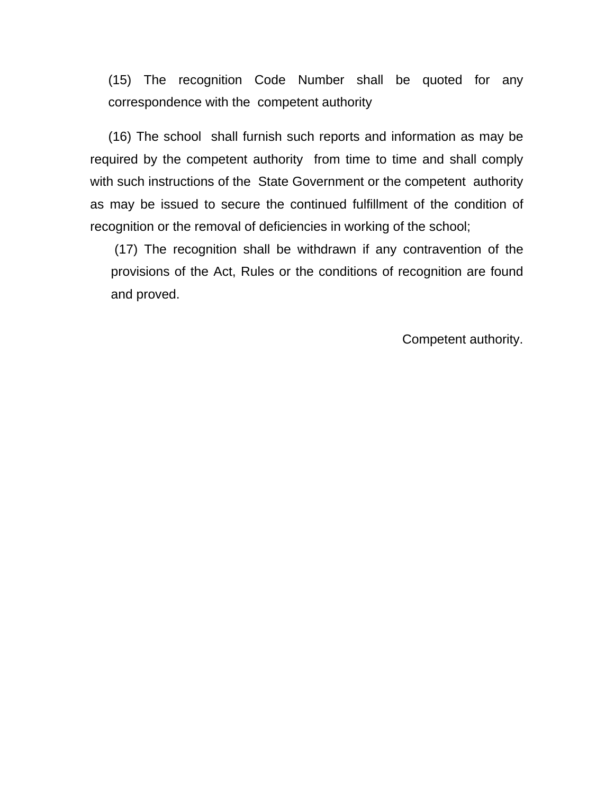(15) The recognition Code Number shall be quoted for any correspondence with the competent authority

(16) The school shall furnish such reports and information as may be required by the competent authority from time to time and shall comply with such instructions of the State Government or the competent authority as may be issued to secure the continued fulfillment of the condition of recognition or the removal of deficiencies in working of the school;

 (17) The recognition shall be withdrawn if any contravention of the provisions of the Act, Rules or the conditions of recognition are found and proved.

Competent authority.